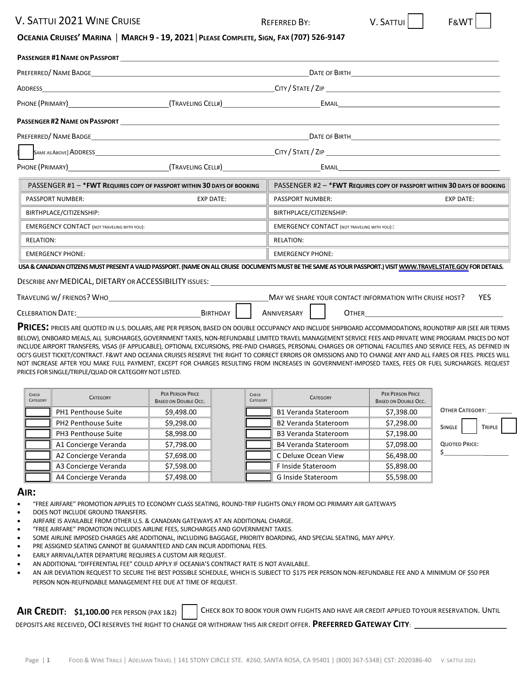## V. SATTUI 2021 WINE CRUISE **REFERRED BY:** REFERRED BY: V. SATTUI



## OCEANIA CRUISES' MARINA | MARCH 9 - 19, 2021 | PLEASE COMPLETE, SIGN, FAX (707) 526-9147

| <b>PASSENGER #1 NAME ON PASSPORT</b>               |                                                                                                                                                                        |                                                                          |                           |  |
|----------------------------------------------------|------------------------------------------------------------------------------------------------------------------------------------------------------------------------|--------------------------------------------------------------------------|---------------------------|--|
|                                                    | PREFERRED/ NAME BADGE <b>And A SET A SET A SET A</b> SET A SET A SET A SET A SET A SET A SET A SET A SET A SET A SET A                                                 | DATE OF BIRTH THE STATE OF BIRTH                                         |                           |  |
|                                                    |                                                                                                                                                                        |                                                                          |                           |  |
|                                                    |                                                                                                                                                                        |                                                                          | EMAIL <b>Example 2008</b> |  |
|                                                    | PASSENGER #2 NAME ON PASSPORT <b>And A SECOND CONTROL</b>                                                                                                              |                                                                          |                           |  |
|                                                    |                                                                                                                                                                        |                                                                          |                           |  |
|                                                    |                                                                                                                                                                        |                                                                          |                           |  |
|                                                    |                                                                                                                                                                        |                                                                          |                           |  |
|                                                    | PASSENGER #1 - * FWT REQUIRES COPY OF PASSPORT WITHIN 30 DAYS OF BOOKING                                                                                               | PASSENGER #2 - * FWT REQUIRES COPY OF PASSPORT WITHIN 30 DAYS OF BOOKING |                           |  |
| <b>PASSPORT NUMBER:</b>                            | <b>EXP DATE:</b>                                                                                                                                                       | PASSPORT NUMBER:                                                         | <b>EXP DATE:</b>          |  |
| BIRTHPLACE/CITIZENSHIP:                            |                                                                                                                                                                        | BIRTHPLACE/CITIZENSHIP:                                                  |                           |  |
| <b>EMERGENCY CONTACT (NOT TRAVELING WITH YOU):</b> |                                                                                                                                                                        | <b>EMERGENCY CONTACT (NOT TRAVELING WITH YOU)::</b>                      |                           |  |
| <b>RELATION:</b>                                   |                                                                                                                                                                        | <b>RELATION:</b>                                                         |                           |  |
| <b>EMERGENCY PHONE:</b>                            |                                                                                                                                                                        | <b>EMERGENCY PHONE:</b>                                                  |                           |  |
|                                                    | USA & CANADIAN CITIZENS MUST PRESENT A VALID PASSPORT. (NAME ON ALL CRUISE DOCUMENTS MUST BE THE SAME AS YOUR PASSPORT.) VISIT <u>WWW.TRAVELSTATE.GOV</u> FOR DETAILS. |                                                                          |                           |  |

### DESCRIBE ANY MEDICAL, DIETARY OR ACCESSIBILITY ISSUES:

| TRAVELING W/FRIENDS? WHO | MAY WE SHARE YOUR CONTACT INFORMATION WITH CRUISE HOST? |             |       |  |
|--------------------------|---------------------------------------------------------|-------------|-------|--|
| <b>CELEBRATION DATE:</b> | <b>BIRTHDAY</b>                                         | ANNIVERSARY | Этнев |  |

**PRICES:** PRICES ARE QUOTED IN U.S.DOLLARS,ARE PER PERSON,BASED ON DOUBLE OCCUPANCY AND INCLUDE SHIPBOARD ACCOMMODATIONS, ROUNDTRIP AIR (SEE AIR TERMS BELOW), ONBOARD MEALS,ALL SURCHARGES,GOVERNMENT TAXES, NON‐REFUNDABLE LIMITED TRAVEL MANAGEMENT SERVICE FEES AND PRIVATE WINE PROGRAM.PRICES DO NOT INCLUDE AIRPORT TRANSFERS, VISAS (IF APPLICABLE), OPTIONAL EXCURSIONS, PRE‐PAID CHARGES, PERSONAL CHARGES OR OPTIONAL FACILITIES AND SERVICE FEES, AS DEFINED IN OCI'S GUEST TICKET/CONTRACT. F&WT AND OCEANIA CRUISES RESERVE THE RIGHT TO CORRECT ERRORS OR OMISSIONS AND TO CHANGE ANY AND ALL FARES OR FEES. PRICES WILL NOT INCREASE AFTER YOU MAKE FULL PAYMENT, EXCEPT FOR CHARGES RESULTING FROM INCREASES IN GOVERNMENT‐IMPOSED TAXES, FEES OR FUEL SURCHARGES. REQUEST PRICES FOR SINGLE/TRIPLE/QUAD OR CATEGORY NOT LISTED.

| CHECK<br>CATEGORY | <b>CATEGORY</b>      | PER PERSON PRICE<br><b>BASED ON DOUBLE OCC.</b> | CHECK<br>CATEGORY | <b>CATEGORY</b>             | PER PERSON PRICE<br><b>BASED ON DOUBLE OCC.</b> |                                |
|-------------------|----------------------|-------------------------------------------------|-------------------|-----------------------------|-------------------------------------------------|--------------------------------|
|                   | PH1 Penthouse Suite  | \$9,498.00                                      |                   | <b>B1 Veranda Stateroom</b> | \$7,398.00                                      | <b>OTHER CATEGORY:</b>         |
|                   | PH2 Penthouse Suite  | \$9,298.00                                      |                   | <b>B2 Veranda Stateroom</b> | \$7,298.00                                      | <b>SINGLE</b><br><b>TRIPLE</b> |
|                   | PH3 Penthouse Suite  | \$8,998.00                                      |                   | <b>B3 Veranda Stateroom</b> | \$7,198.00                                      |                                |
|                   | A1 Concierge Veranda | \$7,798.00                                      |                   | B4 Veranda Stateroom        | \$7,098.00                                      | <b>QUOTED PRICE:</b>           |
|                   | A2 Concierge Veranda | \$7,698.00                                      |                   | C Deluxe Ocean View         | \$6,498.00                                      |                                |
|                   | A3 Concierge Veranda | \$7,598.00                                      |                   | F Inside Stateroom          | \$5,898.00                                      |                                |
|                   | A4 Concierge Veranda | \$7,498.00                                      |                   | G Inside Stateroom          | \$5,598.00                                      |                                |

### **AIR:**

- "FREE AIRFARE" PROMOTION APPLIES TO ECONOMY CLASS SEATING, ROUND‐TRIP FLIGHTS ONLY FROM OCI PRIMARY AIR GATEWAYS
- DOES NOT INCLUDE GROUND TRANSFERS.
- AIRFARE IS AVAILABLE FROM OTHER U.S. & CANADIAN GATEWAYS AT AN ADDITIONAL CHARGE.
- "FREE AIRFARE" PROMOTION INCLUDES AIRLINE FEES, SURCHARGES AND GOVERNMENT TAXES.
- SOME AIRLINE IMPOSED CHARGES ARE ADDITIONAL, INCLUDING BAGGAGE, PRIORITY BOARDING, AND SPECIAL SEATING, MAY APPLY.
- PRE ASSIGNED SEATING CANNOT BE GUARANTEED AND CAN INCUR ADDITIONAL FEES.
- EARLY ARRIVAL/LATER DEPARTURE REQUIRES A CUSTOM AIR REQUEST.
- AN ADDITIONAL "DIFFERENTIAL FEE" COULD APPLY IF OCEANIA'S CONTRACT RATE IS NOT AVAILABLE.
- AN AIR DEVIATION REQUEST TO SECURE THE BEST POSSIBLE SCHEDULE, WHICH IS SUBJECT TO \$175 PER PERSON NON‐REFUNDABLE FEE AND A MINIMUM OF \$50 PER PERSON NON‐REUFNDABLE MANAGEMENT FEE DUE AT TIME OF REQUEST.

## **AIR CREDIT:** \$1,100.00 PER PERSON (PAX 1&2) CHECK BOX TO BOOK YOUR OWN FLIGHTS AND HAVE AIR CREDIT APPLIED TOYOUR RESERVATION. UNTIL

DEPOSITS ARE RECEIVED, OCI RESERVES THE RIGHT TO CHANGE OR WITHDRAW THIS AIR CREDIT OFFER. **PREFERRED GATEWAY CITY**: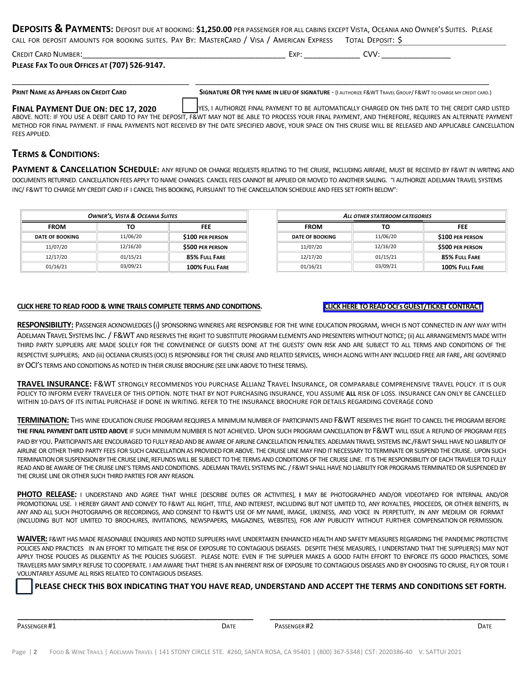**DEPOSITS & PAYMENTS:** DEPOSIT DUE AT BOOKING: **\$1,250.00** PER PASSENGER FOR ALL CABINS EXCEPT VISTA, OCEANIA AND OWNER'<sup>S</sup> SUITES. PLEASE CALL FOR DEPOSIT AMOUNTS FOR BOOKING SUITES. PAY BY: MASTERCARD / VISA / AMERICAN EXPRESS TOTAL DEPOSIT: \$

| <b>CREDIT CARD NUMBER:</b>                   | Exp | `W |  |
|----------------------------------------------|-----|----|--|
| PLEASE FAX TO OUR OFFICES AT (707) 526-9147. |     |    |  |

\_\_\_\_\_\_\_\_\_\_\_\_\_\_\_\_\_\_\_\_\_\_\_\_\_\_\_\_\_\_\_\_\_\_\_\_\_\_\_\_\_ \_\_\_\_\_\_\_\_\_\_\_\_\_\_\_\_\_\_\_\_\_\_\_\_\_\_\_\_\_\_\_\_\_\_\_\_\_\_\_\_\_\_\_\_\_\_\_\_\_\_\_\_\_\_\_\_\_\_\_\_\_\_\_\_\_\_\_\_

PRINT NAME AS APPEARS ON CREDIT CARD SIGNATURE OR TYPE NAME IN LIEU OF SIGNATURE - (I AUTHORIZE F&WT TRAVEL GROUP/ F&WT TO CHARGE MY CREDIT CARD.)

**FINAL PAYMENT DUE ON: DEC 17, 2020** YES, I AUTHORIZE FINAL PAYMENT TO BE AUTOMATICALLY CHARGED ON THIS DATE TO THE CREDIT CARD LISTED ABOVE. NOTE: IF YOU USE A DEBIT CARD TO PAY THE DEPOSIT, F&WT MAY NOT BE ABLE TO PROCESS YOUR FINAL PAYMENT, AND THEREFORE, REQUIRES AN ALTERNATE PAYMENT METHOD FOR FINAL PAYMENT. IF FINAL PAYMENTS NOT RECEIVED BY THE DATE SPECIFIED ABOVE, YOUR SPACE ON THIS CRUISE WILL BE RELEASED AND APPLICABLE CANCELLATION

## **TERMS & CONDITIONS:**

FEES APPLIED.

**PAYMENT & CANCELLATION SCHEDULE:** ANY REFUND OR CHANGE REQUESTS RELATING TO THE CRUISE, INCLUDING AIRFARE, MUST BE RECEIVED BY F&WT IN WRITING AND DOCUMENTS RETURNED. CANCELLATION FEES APPLY TO NAME CHANGES. CANCEL FEES CANNOT BE APPLIED OR MOVED TO ANOTHER SAILING. "I AUTHORIZE ADELMAN TRAVEL SYSTEMS INC/ F&WT TO CHARGE MY CREDIT CARD IF I CANCEL THIS BOOKING, PURSUANT TO THE CANCELLATION SCHEDULE AND FEES SET FORTH BELOW":

| <b>OWNER'S, VISTA &amp; OCEANIA SUITES</b> |          |                  |                        | ALL OTHER STATEROOM CATEGORIES |                    |
|--------------------------------------------|----------|------------------|------------------------|--------------------------------|--------------------|
| <b>FROM</b>                                | то       | <b>FEE</b>       | <b>FROM</b>            | тο                             | FEE                |
| <b>DATE OF BOOKING</b>                     | 11/06/20 | \$100 PER PERSON | <b>DATE OF BOOKING</b> | 11/06/20                       | <b>S100 PER P</b>  |
| 11/07/20                                   | 12/16/20 | \$500 PER PERSON | 11/07/20               | 12/16/20                       | <b>S500 PER PI</b> |
| 12/17/20                                   | 01/15/21 | 85% FULL FARE    | 12/17/20               | 01/15/21                       | <b>85% FULL</b>    |
| 01/16/21                                   | 03/09/21 | 100% FULL FARE   | 01/16/21               | 03/09/21                       | <b>100% FUL</b>    |

| ALL OTHER STATEROOM CATEGORIES |            |                  |  |  |
|--------------------------------|------------|------------------|--|--|
| <b>FROM</b>                    | <b>FFF</b> |                  |  |  |
| <b>DATE OF BOOKING</b>         | 11/06/20   | \$100 PER PERSON |  |  |
| 11/07/20                       | 12/16/20   | \$500 PER PERSON |  |  |
| 12/17/20                       | 01/15/21   | 85% FULL FARE    |  |  |
| 01/16/21                       | 03/09/21   | 100% FULL FARE   |  |  |

### CLICK HERE TO READ FOOD & WINE TRAILS COMPLETE TERMS AND [CONDITIONS.](https://www.foodandwinetrails.com/wp-content/uploads/2020/08/MASTER-FWT-Oceania-Cruises-Terms-and-Conditions.pdf) CLICK HERE TO READ OCI'S GUEST/TICKET CONTRACT

**RESPONSIBILITY:** PASSENGER ACKNOWLEDGES (i) SPONSORING WINERIES ARE RESPONSIBLE FOR THE WINE EDUCATION PROGRAM, WHICH IS NOT CONNECTED IN ANY WAY WITH ADELMAN TRAVEL SYSTEMS INC. / F&WT AND RESERVES THE RIGHT TO SUBSTITUTE PROGRAM ELEMENTS AND PRESENTERS WITHOUT NOTICE; (ii) ALL ARRANGEMENTS MADE WITH THIRD PARTY SUPPLIERS ARE MADE SOLELY FOR THE CONVENIENCE OF GUESTS DONE AT THE GUESTS' OWN RISK AND ARE SUBJECT TO ALL TERMS AND CONDITIONS OF THE RESPECTIVE SUPPLIERS; AND (iii) OCEANIA CRUISES (OCI) IS RESPONSIBLE FOR THE CRUISE AND RELATED SERVICES, WHICH ALONG WITH ANY INCLUDED FREE AIR FARE, ARE GOVERNED BY OCI'S TERMS AND CONDITIONS AS NOTED IN THEIR CRUISE BROCHURE (SEE LINK ABOVE TO THESE TERMS).

**TRAVEL INSURANCE:** F&WT STRONGLY RECOMMENDS YOU PURCHASE ALLIANZ TRAVEL INSURANCE, OR COMPARABLE COMPREHENSIVE TRAVEL POLICY. IT IS OUR POLICY TO INFORM EVERY TRAVELER OF THIS OPTION. NOTE THAT BY NOT PURCHASING INSURANCE, YOU ASSUME **ALL** RISK OF LOSS. INSURANCE CAN ONLY BE CANCELLED WITHIN 10‐DAYS OF ITS INITIAL PURCHASE IF DONE IN WRITING. REFER TO THE INSURANCE BROCHURE FOR DETAILS REGARDING COVERAGE COND

**TERMINATION:** THIS WINE EDUCATION CRUISE PROGRAM REQUIRES A MINIMUM NUMBER OF PARTICIPANTS AND F&WT RESERVES THE RIGHT TO CANCEL THE PROGRAM BEFORE **THE FINAL PAYMENTDATE LISTED ABOVE** IF SUCH MINIMUM NUMBER IS NOT ACHIEVED. UPON SUCH PROGRAM CANCELLATION BY F&WT WILL ISSUE A REFUND OF PROGRAM FEES

PAID BY YOU. PARTICIPANTS ARE ENCOURAGED TO FULLY READ AND BE AWARE OF AIRLINE CANCELLATION PENALTIES. ADELMAN TRAVEL SYSTEMS INC./F&WT SHALL HAVE NO LIABILITY OF AIRLINE OR OTHER THIRD PARTY FEES FOR SUCH CANCELLATION AS PROVIDED FOR ABOVE. THE CRUISE LINE MAY FIND IT NECESSARY TO TERMINATE OR SUSPEND THE CRUISE. UPON SUCH TERMINATION OR SUSPENSION BY THE CRUISE LINE, REFUNDS WILL BE SUBJECT TO THE TERMS AND CONDITIONS OF THE CRUISE LINE. IT IS THE RESPONSIBILITY OF EACH TRAVELER TO FULLY READ AND BE AWARE OF THE CRUISE LINE'S TERMS AND CONDITIONS. ADELMAN TRAVEL SYSTEMS INC. / F&WT SHALL HAVE NO LIABILITY FOR PROGRAMS TERMINATED OR SUSPENDED BY THE CRUISE LINE OR OTHER SUCH THIRD PARTIES FOR ANY REASON.

**PHOTO RELEASE:** I UNDERSTAND AND AGREE THAT WHILE [DESCRIBE DUTIES OR ACTIVITIES], **I** MAY BE PHOTOGRAPHED AND/OR VIDEOTAPED FOR INTERNAL AND/OR PROMOTIONAL USE. I HEREBY GRANT AND CONVEY TO F&WT ALL RIGHT, TITLE, AND INTEREST, INCLUDING BUT NOT LIMITED TO, ANY ROYALTIES, PROCEEDS, OR OTHER BENEFITS, IN ANY AND ALL SUCH PHOTOGRAPHS OR RECORDINGS, AND CONSENT TO F&WT'S USE OF MY NAME, IMAGE, LIKENESS, AND VOICE IN PERPETUITY, IN ANY MEDIUM OR FORMAT (INCLUDING BUT NOT LIMITED TO BROCHURES, INVITATIONS, NEWSPAPERS, MAGAZINES, WEBSITES), FOR ANY PUBLICITY WITHOUT FURTHER COMPENSATION OR PERMISSION.

**WAIVER:** F&WT HAS MADE REASONABLE ENQUIRIES AND NOTED SUPPLIERS HAVE UNDERTAKEN ENHANCED HEALTH AND SAFETY MEASURES REGARDING THE PANDEMIC PROTECTIVE POLICIES AND PRACTICES IN AN EFFORT TO MITIGATE THE RISK OF EXPOSURE TO CONTAGIOUS DISEASES. DESPITE THESE MEASURES, I UNDERSTAND THAT THE SUPPLIER(S) MAY NOT APPLY THOSE POLICIES AS DILIGENTLY AS THE POLICIES SUGGEST. PLEASE NOTE: EVEN IF THE SUPPLIER MAKES A GOOD FAITH EFFORT TO ENFORCE ITS GOOD PRACTICES, SOME TRAVELERS MAY SIMPLY REFUSE TO COOPERATE. I AM AWARE THAT THERE IS AN INHERENT RISK OF EXPOSURE TO CONTAGIOUS DISEASES AND BY CHOOSING TO CRUISE, FLY OR TOUR I VOLUNTARILY ASSUME ALL RISKS RELATED TO CONTAGIOUS DISEASES.

\_\_\_\_\_\_\_\_\_\_\_\_\_\_\_\_\_\_\_\_\_\_\_\_\_\_\_\_\_\_\_\_\_\_\_\_\_\_\_ \_\_\_\_\_\_\_\_\_\_\_\_\_\_\_\_\_\_\_\_\_\_\_\_\_\_\_\_\_\_\_\_\_\_\_\_\_\_\_

PLEASE CHECK THIS BOX INDICATING THAT YOU HAVE READ, UNDERSTAND AND ACCEPT THE TERMS AND CONDITIONS SET FORTH.

PASSENGER #1 **DATE** PASSENGER #2 **DATE** PASSENGER #2